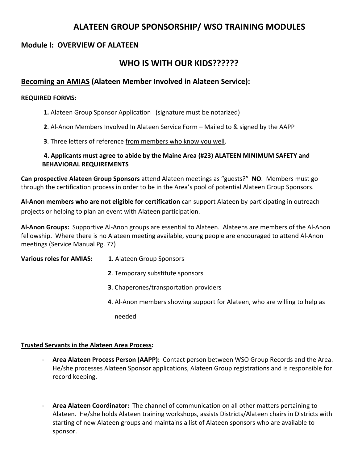# **ALATEEN GROUP SPONSORSHIP/ WSO TRAINING MODULES**

## **Module I: OVERVIEW OF ALATEEN**

# **WHO IS WITH OUR KIDS??????**

## **Becoming an AMIAS (Alateen Member Involved in Alateen Service):**

## **REQUIRED FORMS:**

- **1.** Alateen Group Sponsor Application (signature must be notarized)
- **2**. Al‐Anon Members Involved In Alateen Service Form Mailed to & signed by the AAPP
- **3**. Three letters of reference from members who know you well.

## **4. Applicants must agree to abide by the Maine Area (#23) ALATEEN MINIMUM SAFETY and BEHAVIORAL REQUIREMENTS**

**Can prospective Alateen Group Sponsors** attend Alateen meetings as "guests?" **NO**. Members must go through the certification process in order to be in the Area's pool of potential Alateen Group Sponsors.

**Al‐Anon members who are not eligible for certification** can support Alateen by participating in outreach projects or helping to plan an event with Alateen participation.

**Al‐Anon Groups:** Supportive Al‐Anon groups are essential to Alateen. Alateens are members of the Al‐Anon fellowship. Where there is no Alateen meeting available, young people are encouraged to attend Al‐Anon meetings (Service Manual Pg. 77)

**Various roles for AMIAS: 1**. Alateen Group Sponsors

- **2**. Temporary substitute sponsors
- **3**. Chaperones/transportation providers
- **4**. Al‐Anon members showing support for Alateen, who are willing to help as
- needed and the state of the state of the state of the state of the state of the state of the state of the state of the state of the state of the state of the state of the state of the state of the state of the state of the

## **Trusted Servants in the Alateen Area Process:**

- ‐ **Area Alateen Process Person (AAPP):** Contact person between WSO Group Records and the Area. He/she processes Alateen Sponsor applications, Alateen Group registrations and is responsible for record keeping.
- ‐ **Area Alateen Coordinator:** The channel of communication on all other matters pertaining to Alateen. He/she holds Alateen training workshops, assists Districts/Alateen chairs in Districts with starting of new Alateen groups and maintains a list of Alateen sponsors who are available to sponsor.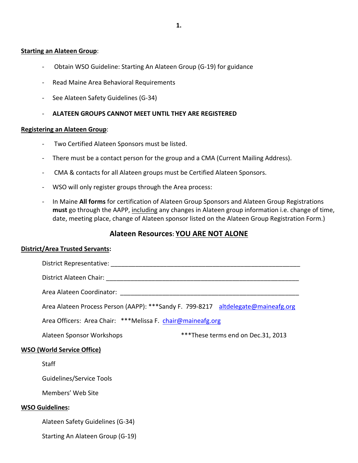#### **Starting an Alateen Group**:

- ‐ Obtain WSO Guideline: Starting An Alateen Group (G‐19) for guidance
- ‐ Read Maine Area Behavioral Requirements
- See Alateen Safety Guidelines (G-34)
- ‐ **ALATEEN GROUPS CANNOT MEET UNTIL THEY ARE REGISTERED**

#### **Registering an Alateen Group**:

- ‐ Two Certified Alateen Sponsors must be listed.
- ‐ There must be a contact person for the group and a CMA (Current Mailing Address).
- ‐ CMA & contacts for all Alateen groups must be Certified Alateen Sponsors.
- WSO will only register groups through the Area process:
- ‐ In Maine **All forms** for certification of Alateen Group Sponsors and Alateen Group Registrations **must** go through the AAPP, including any changes in Alateen group information i.e. change of time, date, meeting place, change of Alateen sponsor listed on the Alateen Group Registration Form.)

## **Alateen Resources: YOU ARE NOT ALONE**

#### **District/Area Trusted Servants:**

|                                   | Area Alateen Process Person (AAPP): ***Sandy F. 799-8217 altdelegate@maineafg.org |  |                                     |  |  |
|-----------------------------------|-----------------------------------------------------------------------------------|--|-------------------------------------|--|--|
|                                   | Area Officers: Area Chair: ***Melissa F. chair@maineafg.org                       |  |                                     |  |  |
|                                   | Alateen Sponsor Workshops                                                         |  | *** These terms end on Dec.31, 2013 |  |  |
| <b>WSO (World Service Office)</b> |                                                                                   |  |                                     |  |  |
| <b>Staff</b>                      |                                                                                   |  |                                     |  |  |
|                                   | Guidelines/Service Tools                                                          |  |                                     |  |  |
|                                   | Members' Web Site                                                                 |  |                                     |  |  |
| <b>WSO Guidelines:</b>            |                                                                                   |  |                                     |  |  |
|                                   | Alateen Safety Guidelines (G-34)                                                  |  |                                     |  |  |
|                                   | Starting An Alateen Group (G-19)                                                  |  |                                     |  |  |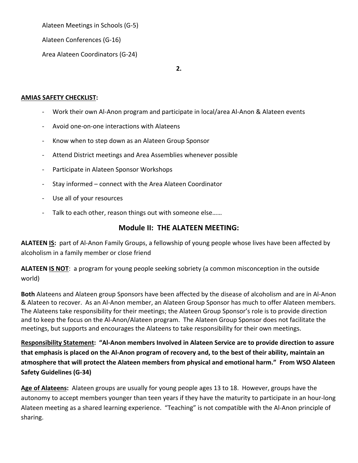Alateen Meetings in Schools (G‐5)

Alateen Conferences (G‐16)

Area Alateen Coordinators (G‐24)

**2.**

## **AMIAS SAFETY CHECKLIST:**

- ‐ Work their own Al‐Anon program and participate in local/area Al‐Anon & Alateen events
- ‐ Avoid one‐on‐one interactions with Alateens
- Know when to step down as an Alateen Group Sponsor
- ‐ Attend District meetings and Area Assemblies whenever possible
- Participate in Alateen Sponsor Workshops
- Stay informed connect with the Area Alateen Coordinator
- ‐ Use all of your resources
- Talk to each other, reason things out with someone else......

## **Module II: THE ALATEEN MEETING:**

**ALATEEN IS:** part of Al‐Anon Family Groups, a fellowship of young people whose lives have been affected by alcoholism in a family member or close friend

**ALATEEN IS NOT**: a program for young people seeking sobriety (a common misconception in the outside world)

**Both** Alateens and Alateen group Sponsors have been affected by the disease of alcoholism and are in Al‐Anon & Alateen to recover. As an Al‐Anon member, an Alateen Group Sponsor has much to offer Alateen members. The Alateens take responsibility for their meetings; the Alateen Group Sponsor's role is to provide direction and to keep the focus on the Al‐Anon/Alateen program. The Alateen Group Sponsor does not facilitate the meetings, but supports and encourages the Alateens to take responsibility for their own meetings.

Responsibility Statement: "Al-Anon members Involved in Alateen Service are to provide direction to assure that emphasis is placed on the Al-Anon program of recovery and, to the best of their ability, maintain an **atmosphere that will protect the Alateen members from physical and emotional harm." From WSO Alateen Safety Guidelines (G‐34)**

**Age of Alateens:** Alateen groups are usually for young people ages 13 to 18. However, groups have the autonomy to accept members younger than teen years if they have the maturity to participate in an hour‐long Alateen meeting as a shared learning experience. "Teaching" is not compatible with the Al‐Anon principle of sharing.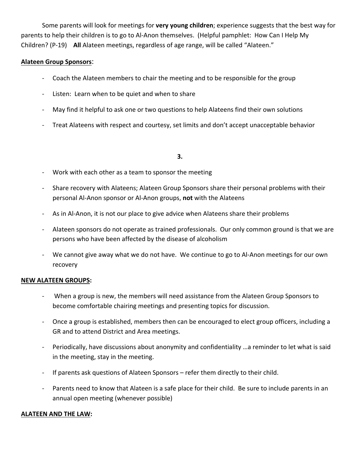Some parents will look for meetings for **very young children**; experience suggests that the best way for parents to help their children is to go to Al-Anon themselves. (Helpful pamphlet: How Can I Help My Children? (P‐19) **All** Alateen meetings, regardless of age range, will be called "Alateen."

## **Alateen Group Sponsors**:

- ‐ Coach the Alateen members to chair the meeting and to be responsible for the group
- Listen: Learn when to be quiet and when to share
- May find it helpful to ask one or two questions to help Alateens find their own solutions
- ‐ Treat Alateens with respect and courtesy, set limits and don't accept unacceptable behavior

## $\bf{3.}$

- ‐ Work with each other as a team to sponsor the meeting
- Share recovery with Alateens; Alateen Group Sponsors share their personal problems with their personal Al‐Anon sponsor or Al‐Anon groups, **not** with the Alateens
- As in Al-Anon, it is not our place to give advice when Alateens share their problems
- ‐ Alateen sponsors do not operate as trained professionals. Our only common ground is that we are persons who have been affected by the disease of alcoholism
- We cannot give away what we do not have. We continue to go to Al-Anon meetings for our own recovery

## **NEW ALATEEN GROUPS:**

- When a group is new, the members will need assistance from the Alateen Group Sponsors to become comfortable chairing meetings and presenting topics for discussion.
- ‐ Once a group is established, members then can be encouraged to elect group officers, including a GR and to attend District and Area meetings.
- Periodically, have discussions about anonymity and confidentiality ... a reminder to let what is said in the meeting, stay in the meeting.
- If parents ask questions of Alateen Sponsors refer them directly to their child.
- Parents need to know that Alateen is a safe place for their child. Be sure to include parents in an annual open meeting (whenever possible)

## **ALATEEN AND THE LAW:**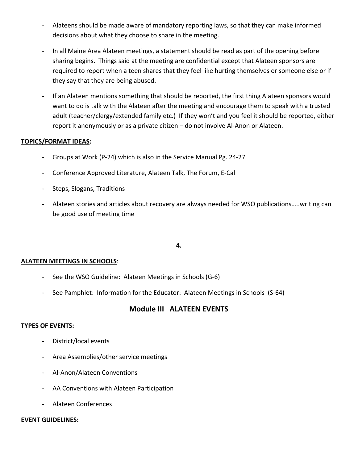- ‐ Alateens should be made aware of mandatory reporting laws, so that they can make informed decisions about what they choose to share in the meeting.
- ‐ In all Maine Area Alateen meetings, a statement should be read as part of the opening before sharing begins. Things said at the meeting are confidential except that Alateen sponsors are required to report when a teen shares that they feel like hurting themselves or someone else or if they say that they are being abused.
- ‐ If an Alateen mentions something that should be reported, the first thing Alateen sponsors would want to do is talk with the Alateen after the meeting and encourage them to speak with a trusted adult (teacher/clergy/extended family etc.) If they won't and you feel it should be reported, either report it anonymously or as a private citizen – do not involve Al‐Anon or Alateen.

## **TOPICS/FORMAT IDEAS:**

- ‐ Groups at Work (P‐24) which is also in the Service Manual Pg. 24‐27
- ‐ Conference Approved Literature, Alateen Talk, The Forum, E‐Cal
- Steps, Slogans, Traditions
- Alateen stories and articles about recovery are always needed for WSO publications.....writing can be good use of meeting time

## $\mathbf{4.}$

#### **ALATEEN MEETINGS IN SCHOOLS**:

- ‐ See the WSO Guideline: Alateen Meetings in Schools (G‐6)
- ‐ See Pamphlet: Information for the Educator: Alateen Meetings in Schools (S‐64)

## **Module III ALATEEN EVENTS**

#### **TYPES OF EVENTS:**

- ‐ District/local events
- ‐ Area Assemblies/other service meetings
- ‐ Al‐Anon/Alateen Conventions
- ‐ AA Conventions with Alateen Participation
- ‐ Alateen Conferences

#### **EVENT GUIDELINES:**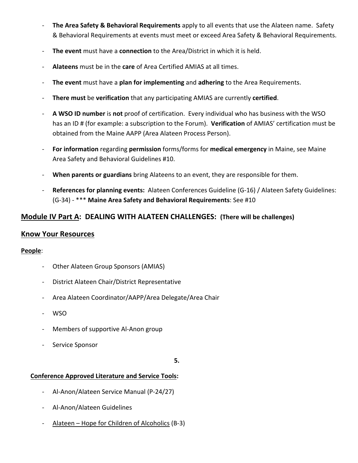- ‐ **The Area Safety & Behavioral Requirements** apply to all events that use the Alateen name. Safety & Behavioral Requirements at events must meet or exceed Area Safety & Behavioral Requirements.
- ‐ **The event** must have a **connection** to the Area/District in which it is held.
- ‐ **Alateens** must be in the **care** of Area Certified AMIAS at all times.
- ‐ **The event** must have a **plan for implementing** and **adhering** to the Area Requirements.
- ‐ **There must** be **verification** that any participating AMIAS are currently **certified**.
- ‐ **A WSO ID number** is **not** proof of certification. Every individual who has business with the WSO has an ID # (for example: a subscription to the Forum). **Verification** of AMIAS' certification must be obtained from the Maine AAPP (Area Alateen Process Person).
- ‐ **For information** regarding **permission** forms/forms for **medical emergency** in Maine, see Maine Area Safety and Behavioral Guidelines #10.
- ‐ **When parents or guardians** bring Alateens to an event, they are responsible for them.
- ‐ **References for planning events:** Alateen Conferences Guideline (G‐16) / Alateen Safety Guidelines: (G‐34) ‐ \*\*\* **Maine Area Safety and Behavioral Requirements**: See #10

## **Module IV Part A: DEALING WITH ALATEEN CHALLENGES: (There will be challenges)**

## **Know Your Resources**

## **People**:

- ‐ Other Alateen Group Sponsors (AMIAS)
- District Alateen Chair/District Representative
- ‐ Area Alateen Coordinator/AAPP/Area Delegate/Area Chair
- ‐ WSO
- ‐ Members of supportive Al‐Anon group
- Service Sponsor

 $\bf 5.$ 

## **Conference Approved Literature and Service Tools:**

- ‐ Al‐Anon/Alateen Service Manual (P‐24/27)
- ‐ Al‐Anon/Alateen Guidelines
- ‐ Alateen Hope for Children of Alcoholics (B‐3)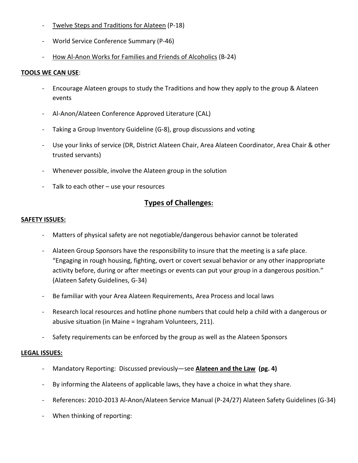- ‐ Twelve Steps and Traditions for Alateen (P‐18)
- ‐ World Service Conference Summary (P‐46)
- ‐ How Al‐Anon Works for Families and Friends of Alcoholics (B‐24)

## **TOOLS WE CAN USE**:

- ‐ Encourage Alateen groups to study the Traditions and how they apply to the group & Alateen events
- ‐ Al‐Anon/Alateen Conference Approved Literature (CAL)
- ‐ Taking a Group Inventory Guideline (G‐8), group discussions and voting
- ‐ Use your links of service (DR, District Alateen Chair, Area Alateen Coordinator, Area Chair & other trusted servants)
- ‐ Whenever possible, involve the Alateen group in the solution
- ‐ Talk to each other use your resources

## **Types of Challenges:**

## **SAFETY ISSUES:**

- ‐ Matters of physical safety are not negotiable/dangerous behavior cannot be tolerated
- Alateen Group Sponsors have the responsibility to insure that the meeting is a safe place. "Engaging in rough housing, fighting, overt or covert sexual behavior or any other inappropriate activity before, during or after meetings or events can put your group in a dangerous position." (Alateen Safety Guidelines, G‐34)
- ‐ Be familiar with your Area Alateen Requirements, Area Process and local laws
- Research local resources and hotline phone numbers that could help a child with a dangerous or abusive situation (in Maine = Ingraham Volunteers, 211).
- ‐ Safety requirements can be enforced by the group as well as the Alateen Sponsors

## **LEGAL ISSUES:**

- ‐ Mandatory Reporting: Discussed previously—see **Alateen and the Law (pg. 4)**
- By informing the Alateens of applicable laws, they have a choice in what they share.
- ‐ References: 2010‐2013 Al‐Anon/Alateen Service Manual (P‐24/27) Alateen Safety Guidelines (G‐34)
- When thinking of reporting: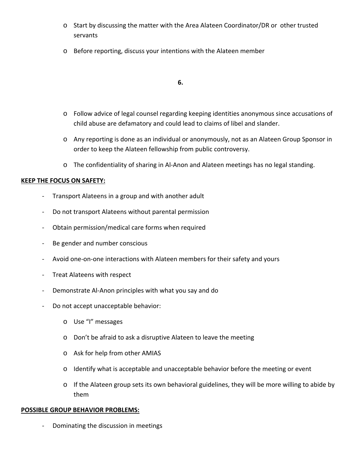- o Start by discussing the matter with the Area Alateen Coordinator/DR or other trusted servants
- o Before reporting, discuss your intentions with the Alateen member

#### $\bullet$   **6.**

- o Follow advice of legal counsel regarding keeping identities anonymous since accusations of child abuse are defamatory and could lead to claims of libel and slander.
- o Any reporting is done as an individual or anonymously, not as an Alateen Group Sponsor in order to keep the Alateen fellowship from public controversy.
- o The confidentiality of sharing in Al‐Anon and Alateen meetings has no legal standing.

## **KEEP THE FOCUS ON SAFETY:**

- ‐ Transport Alateens in a group and with another adult
- ‐ Do not transport Alateens without parental permission
- Obtain permission/medical care forms when required
- ‐ Be gender and number conscious
- ‐ Avoid one‐on‐one interactions with Alateen members for their safety and yours
- ‐ Treat Alateens with respect
- ‐ Demonstrate Al‐Anon principles with what you say and do
- ‐ Do not accept unacceptable behavior:
	- o Use "I" messages
	- o Don't be afraid to ask a disruptive Alateen to leave the meeting
	- o Ask for help from other AMIAS
	- o Identify what is acceptable and unacceptable behavior before the meeting or event
	- $\circ$  If the Alateen group sets its own behavioral guidelines, they will be more willing to abide by them

## **POSSIBLE GROUP BEHAVIOR PROBLEMS:**

‐ Dominating the discussion in meetings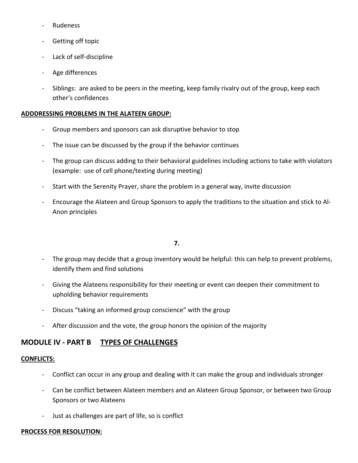- ‐ Rudeness
- Getting off topic
- Lack of self-discipline
- ‐ Age differences
- Siblings: are asked to be peers in the meeting, keep family rivalry out of the group, keep each other's confidences

## **ADDDRESSING PROBLEMS IN THE ALATEEN GROUP:**

- ‐ Group members and sponsors can ask disruptive behavior to stop
- The issue can be discussed by the group if the behavior continues
- The group can discuss adding to their behavioral guidelines including actions to take with violators (example: use of cell phone/texting during meeting)
- Start with the Serenity Prayer, share the problem in a general way, invite discussion
- ‐ Encourage the Alateen and Group Sponsors to apply the traditions to the situation and stick to Al‐ Anon principles

## $\overline{7}$ .

- The group may decide that a group inventory would be helpful: this can help to prevent problems, identify them and find solutions
- Giving the Alateens responsibility for their meeting or event can deepen their commitment to upholding behavior requirements
- ‐ Discuss "taking an informed group conscience" with the group
- After discussion and the vote, the group honors the opinion of the majority

## **MODULE IV ‐ PART B TYPES OF CHALLENGES**

## **CONFLICTS:**

- ‐ Conflict can occur in any group and dealing with it can make the group and individuals stronger
- ‐ Can be conflict between Alateen members and an Alateen Group Sponsor, or between two Group Sponsors or two Alateens
- ‐ Just as challenges are part of life, so is conflict

## **PROCESS FOR RESOLUTION:**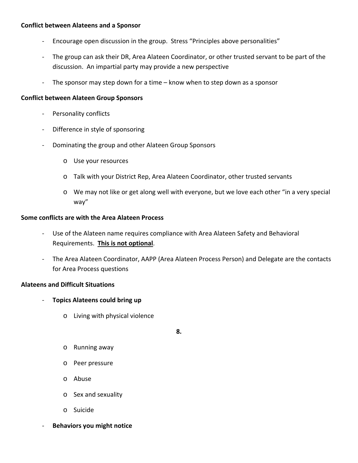## **Conflict between Alateens and a Sponsor**

- ‐ Encourage open discussion in the group. Stress "Principles above personalities"
- ‐ The group can ask their DR, Area Alateen Coordinator, or other trusted servant to be part of the discussion. An impartial party may provide a new perspective
- The sponsor may step down for a time know when to step down as a sponsor

## **Conflict between Alateen Group Sponsors**

- Personality conflicts
- ‐ Difference in style of sponsoring
- ‐ Dominating the group and other Alateen Group Sponsors
	- o Use your resources
	- o Talk with your District Rep, Area Alateen Coordinator, other trusted servants
	- o We may not like or get along well with everyone, but we love each other "in a very special way"

#### **Some conflicts are with the Area Alateen Process**

- Use of the Alateen name requires compliance with Area Alateen Safety and Behavioral Requirements. **This is not optional**.
- ‐ The Area Alateen Coordinator, AAPP (Area Alateen Process Person) and Delegate are the contacts for Area Process questions

## **Alateens and Difficult Situations**

- ‐ **Topics Alateens could bring up**
	- o Living with physical violence

 $\bf{8.}$ 

- o Running away
- o Peer pressure
- o Abuse
- o Sex and sexuality
- o Suicide
- ‐ **Behaviors you might notice**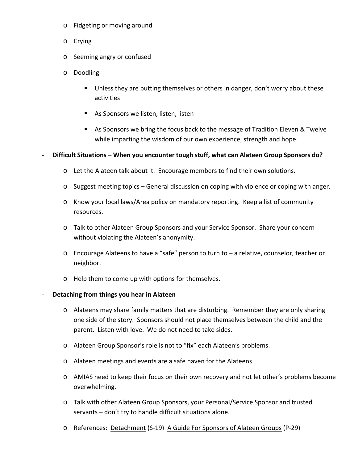- o Fidgeting or moving around
- o Crying
- o Seeming angry or confused
- o Doodling
	- Unless they are putting themselves or others in danger, don't worry about these activities
	- As Sponsors we listen, listen, listen
	- As Sponsors we bring the focus back to the message of Tradition Eleven & Twelve while imparting the wisdom of our own experience, strength and hope.

#### ‐ **Difficult Situations – When you encounter tough stuff, what can Alateen Group Sponsors do?**

- o Let the Alateen talk about it. Encourage members to find their own solutions.
- o Suggest meeting topics General discussion on coping with violence or coping with anger.
- o Know your local laws/Area policy on mandatory reporting. Keep a list of community resources.
- o Talk to other Alateen Group Sponsors and your Service Sponsor. Share your concern without violating the Alateen's anonymity.
- o Encourage Alateens to have a "safe" person to turn to a relative, counselor, teacher or neighbor.
- o Help them to come up with options for themselves.
- ‐ **Detaching from things you hear in Alateen**
	- o Alateens may share family matters that are disturbing. Remember they are only sharing one side of the story. Sponsors should not place themselves between the child and the parent. Listen with love. We do not need to take sides.
	- o Alateen Group Sponsor's role is not to "fix" each Alateen's problems.
	- o Alateen meetings and events are a safe haven for the Alateens
	- o AMIAS need to keep their focus on their own recovery and not let other's problems become overwhelming.
	- o Talk with other Alateen Group Sponsors, your Personal/Service Sponsor and trusted servants – don't try to handle difficult situations alone.
	- o References: Detachment (S‐19) A Guide For Sponsors of Alateen Groups (P‐29)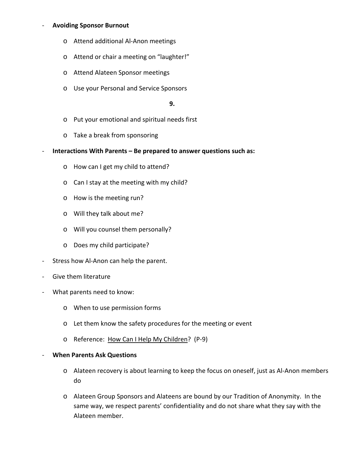## ‐ **Avoiding Sponsor Burnout**

- o Attend additional Al‐Anon meetings
- o Attend or chair a meeting on "laughter!"
- o Attend Alateen Sponsor meetings
- o Use your Personal and Service Sponsors

#### $9.$

- o Put your emotional and spiritual needs first
- o Take a break from sponsoring
- ‐ **Interactions With Parents – Be prepared to answer questions such as:**
	- o How can I get my child to attend?
	- o Can I stay at the meeting with my child?
	- o How is the meeting run?
	- o Will they talk about me?
	- o Will you counsel them personally?
	- o Does my child participate?
- Stress how Al-Anon can help the parent.
- ‐ Give them literature
- What parents need to know:
	- o When to use permission forms
	- o Let them know the safety procedures for the meeting or event
	- o Reference: How Can I Help My Children? (P‐9)
- ‐ **When Parents Ask Questions**
	- o Alateen recovery is about learning to keep the focus on oneself, just as Al‐Anon members do
	- o Alateen Group Sponsors and Alateens are bound by our Tradition of Anonymity. In the same way, we respect parents' confidentiality and do not share what they say with the Alateen member.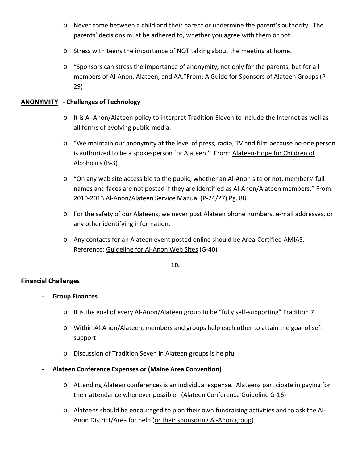- o Never come between a child and their parent or undermine the parent's authority. The parents' decisions must be adhered to, whether you agree with them or not.
- o Stress with teens the importance of NOT talking about the meeting at home.
- o "Sponsors can stress the importance of anonymity, not only for the parents, but for all members of Al-Anon, Alateen, and AA."From: A Guide for Sponsors of Alateen Groups (P-29)

## **ANONYMITY ‐ Challenges of Technology**

- o It is Al‐Anon/Alateen policy to interpret Tradition Eleven to include the Internet as well as all forms of evolving public media.
- o "We maintain our anonymity at the level of press, radio, TV and film because no one person is authorized to be a spokesperson for Alateen." From: Alateen‐Hope for Children of Alcoholics (B‐3)
- o "On any web site accessible to the public, whether an Al‐Anon site or not, members' full names and faces are not posted if they are identified as Al‐Anon/Alateen members." From: 2010‐2013 Al‐Anon/Alateen Service Manual (P‐24/27) Pg. 88.
- o For the safety of our Alateens, we never post Alateen phone numbers, e‐mail addresses, or any other identifying information.
- o Any contacts for an Alateen event posted online should be Area‐Certified AMIAS. Reference: Guideline for Al‐Anon Web Sites (G‐40)

 $\bf{10.}$ 

## **Financial Challenges**

- ‐ **Group Finances**
	- o It is the goal of every Al‐Anon/Alateen group to be "fully self‐supporting" Tradition 7
	- o Within Al‐Anon/Alateen, members and groups help each other to attain the goal of sef‐ support
	- o Discussion of Tradition Seven in Alateen groups is helpful
- ‐ **Alateen Conference Expenses or (Maine Area Convention)**
	- o Attending Alateen conferences is an individual expense. Alateens participate in paying for their attendance whenever possible. (Alateen Conference Guideline G‐16)
	- o Alateens should be encouraged to plan their own fundraising activities and to ask the Al‐ Anon District/Area for help (or their sponsoring Al-Anon group)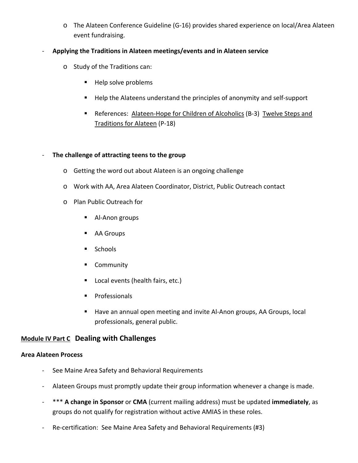o The Alateen Conference Guideline (G‐16) provides shared experience on local/Area Alateen event fundraising.

## ‐ **Applying the Traditions in Alateen meetings/events and in Alateen service**

- o Study of the Traditions can:
	- Help solve problems
	- Help the Alateens understand the principles of anonymity and self-support
	- References: Alateen-Hope for Children of Alcoholics (B-3) Twelve Steps and Traditions for Alateen (P‐18)

## ‐ **The challenge of attracting teens to the group**

- o Getting the word out about Alateen is an ongoing challenge
- o Work with AA, Area Alateen Coordinator, District, Public Outreach contact
- o Plan Public Outreach for
	- Al-Anon groups
	- AA Groups
	- **Schools**
	- **Community**
	- **Local events (health fairs, etc.)**
	- **Professionals**
	- Have an annual open meeting and invite Al-Anon groups, AA Groups, local professionals, general public.

## **Module IV Part C Dealing with Challenges**

## **Area Alateen Process**

- ‐ See Maine Area Safety and Behavioral Requirements
- ‐ Alateen Groups must promptly update their group information whenever a change is made.
- ‐ \*\*\* **A change in Sponsor** or **CMA** (current mailing address) must be updated **immediately**, as groups do not qualify for registration without active AMIAS in these roles.
- Re-certification: See Maine Area Safety and Behavioral Requirements (#3)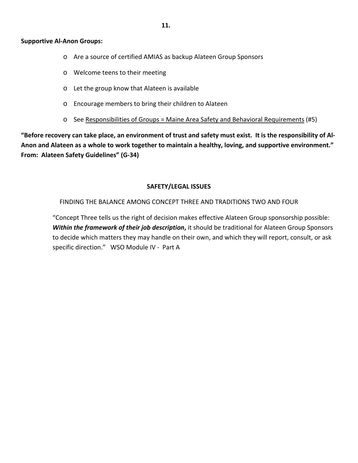#### **Supportive Al‐Anon Groups:**

- o Are a source of certified AMIAS as backup Alateen Group Sponsors
- o Welcome teens to their meeting
- o Let the group know that Alateen is available
- o Encourage members to bring their children to Alateen
- $\circ$  See Responsibilities of Groups = Maine Area Safety and Behavioral Requirements (#5)

"Before recovery can take place, an environment of trust and safety must exist. It is the responsibility of Al-Anon and Alateen as a whole to work together to maintain a healthy, loving, and supportive environment." **From: Alateen Safety Guidelines" (G‐34)**

#### **SAFETY/LEGAL ISSUES**

FINDING THE BALANCE AMONG CONCEPT THREE AND TRADITIONS TWO AND FOUR

"Concept Three tells us the right of decision makes effective Alateen Group sponsorship possible: *Within the framework of their job description***,** it should be traditional for Alateen Group Sponsors to decide which matters they may handle on their own, and which they will report, consult, or ask specific direction." WSO Module IV ‐ Part A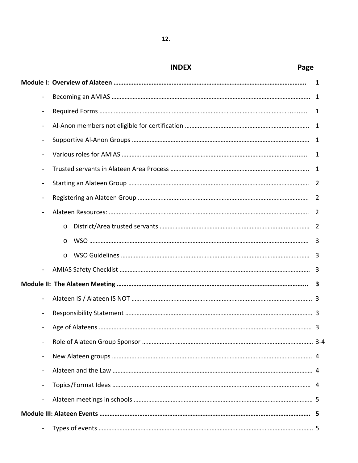|                              | Page<br><b>INDEX</b> |              |
|------------------------------|----------------------|--------------|
|                              |                      | 1            |
| ÷                            |                      |              |
| $\qquad \qquad \blacksquare$ |                      | 1            |
| $\overline{\phantom{0}}$     |                      |              |
| $\overline{a}$               |                      |              |
|                              |                      | 1            |
|                              |                      |              |
| $\overline{\phantom{0}}$     |                      |              |
| $\overline{a}$               |                      |              |
|                              |                      |              |
|                              | $\circ$              |              |
|                              | $\circ$              | 3            |
|                              | $\circ$              |              |
|                              |                      |              |
|                              |                      | $\mathbf{3}$ |
|                              |                      |              |
|                              |                      |              |
|                              |                      |              |
| $\overline{\phantom{0}}$     |                      |              |
| $\overline{\phantom{0}}$     |                      |              |
| $\blacksquare$               |                      |              |
| $\overline{\phantom{0}}$     |                      |              |
| $\blacksquare$               |                      |              |
|                              |                      |              |
|                              |                      |              |

# $\bf{12.}$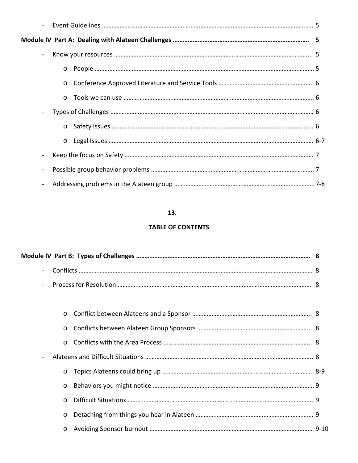| $\circ$  |  |
|----------|--|
| $\circ$  |  |
| $\Omega$ |  |
|          |  |
| $\circ$  |  |
| $\circ$  |  |
|          |  |
|          |  |
|          |  |

## $\bf{13.}$

## **TABLE OF CONTENTS**

| $\overline{\phantom{a}}$ |  |
|--------------------------|--|
|                          |  |
|                          |  |
|                          |  |
| $\circ$                  |  |
|                          |  |
|                          |  |
| $\circ$                  |  |
| $\circ$                  |  |
| $\Omega$                 |  |
| $\circ$                  |  |
|                          |  |